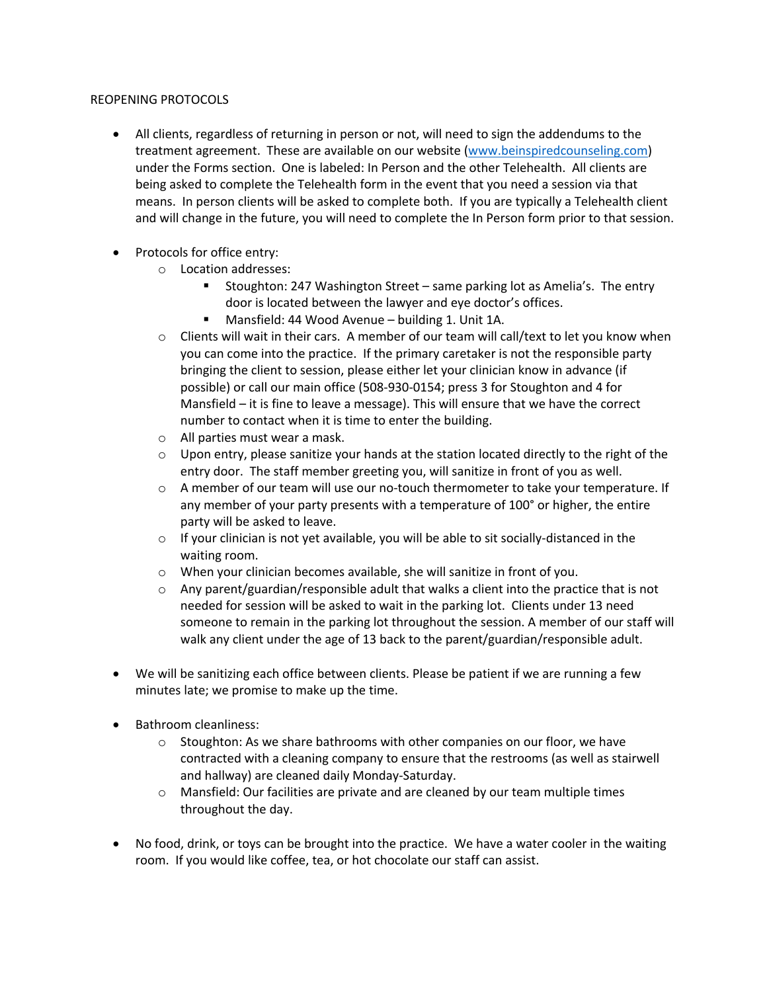## REOPENING PROTOCOLS

- All clients, regardless of returning in person or not, will need to sign the addendums to the treatment agreement. These are available on our website (www.beinspiredcounseling.com) under the Forms section. One is labeled: In Person and the other Telehealth. All clients are being asked to complete the Telehealth form in the event that you need a session via that means. In person clients will be asked to complete both. If you are typically a Telehealth client and will change in the future, you will need to complete the In Person form prior to that session.
- Protocols for office entry:
	- o Location addresses:
		- Stoughton: 247 Washington Street same parking lot as Amelia's. The entry door is located between the lawyer and eye doctor's offices.
		- Mansfield: 44 Wood Avenue building 1. Unit 1A.
	- $\circ$  Clients will wait in their cars. A member of our team will call/text to let you know when you can come into the practice. If the primary caretaker is not the responsible party bringing the client to session, please either let your clinician know in advance (if possible) or call our main office (508-930-0154; press 3 for Stoughton and 4 for Mansfield – it is fine to leave a message). This will ensure that we have the correct number to contact when it is time to enter the building.
	- o All parties must wear a mask.
	- $\circ$  Upon entry, please sanitize your hands at the station located directly to the right of the entry door. The staff member greeting you, will sanitize in front of you as well.
	- o A member of our team will use our no-touch thermometer to take your temperature. If any member of your party presents with a temperature of 100° or higher, the entire party will be asked to leave.
	- $\circ$  If your clinician is not yet available, you will be able to sit socially-distanced in the waiting room.
	- o When your clinician becomes available, she will sanitize in front of you.
	- $\circ$  Any parent/guardian/responsible adult that walks a client into the practice that is not needed for session will be asked to wait in the parking lot. Clients under 13 need someone to remain in the parking lot throughout the session. A member of our staff will walk any client under the age of 13 back to the parent/guardian/responsible adult.
- We will be sanitizing each office between clients. Please be patient if we are running a few minutes late; we promise to make up the time.
- Bathroom cleanliness:
	- $\circ$  Stoughton: As we share bathrooms with other companies on our floor, we have contracted with a cleaning company to ensure that the restrooms (as well as stairwell and hallway) are cleaned daily Monday-Saturday.
	- o Mansfield: Our facilities are private and are cleaned by our team multiple times throughout the day.
- No food, drink, or toys can be brought into the practice. We have a water cooler in the waiting room. If you would like coffee, tea, or hot chocolate our staff can assist.